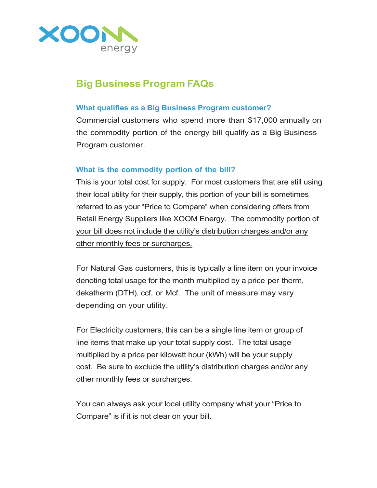

# **Big Business Program FAQs**

### **What qualifies as a Big Business Program customer?**

Commercial customers who spend more than \$17,000 annually on the commodity portion of the energy bill qualify as a Big Business Program customer.

### **What is the commodity portion of the bill?**

This is your total cost for supply. For most customers that are still using their local utility for their supply, this portion of your bill is sometimes referred to as your "Price to Compare" when considering offers from Retail Energy Suppliers like XOOM Energy. The commodity portion of your bill does not include the utility's distribution charges and/or any other monthly fees or surcharges.

For Natural Gas customers, this is typically a line item on your invoice denoting total usage for the month multiplied by a price per therm, dekatherm (DTH), ccf, or Mcf. The unit of measure may vary depending on your utility.

For Electricity customers, this can be a single line item or group of line items that make up your total supply cost. The total usage multiplied by a price per kilowatt hour (kWh) will be your supply cost. Be sure to exclude the utility's distribution charges and/or any other monthly fees or surcharges.

You can always ask your local utility company what your "Price to Compare" is if it is not clear on your bill.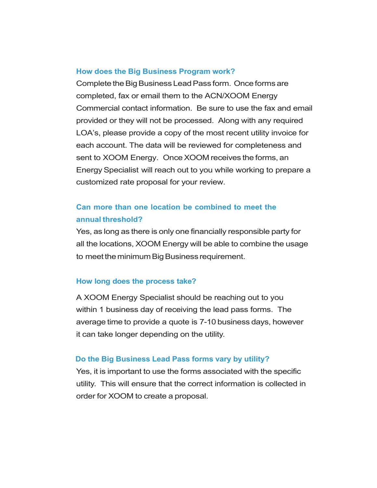#### **How does the Big Business Program work?**

Complete the Big Business Lead Pass form. Once forms are completed, fax or email them to the ACN/XOOM Energy Commercial contact information. Be sure to use the fax and email provided or they will not be processed. Along with any required LOA's, please provide a copy of the most recent utility invoice for each account. The data will be reviewed for completeness and sent to XOOM Energy. Once XOOM receives the forms, an Energy Specialist will reach out to you while working to prepare a customized rate proposal for your review.

### **Can more than one location be combined to meet the annual threshold?**

Yes, as long as there is only one financially responsible party for all the locations, XOOM Energy will be able to combine the usage to meet the minimum Big Business requirement.

#### **How long does the process take?**

A XOOM Energy Specialist should be reaching out to you within 1 business day of receiving the lead pass forms. The average time to provide a quote is 7-10 business days, however it can take longer depending on the utility.

#### **Do the Big Business Lead Pass forms vary by utility?**

Yes, it is important to use the forms associated with the specific utility. This will ensure that the correct information is collected in order for XOOM to create a proposal.